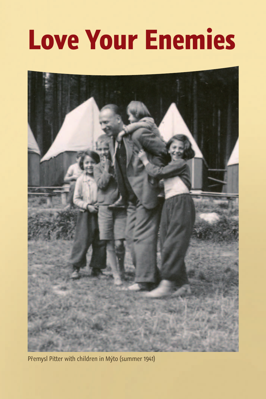# **Love Your Enemies**



Přemysl Pitter with children in Mýto (summer 1941)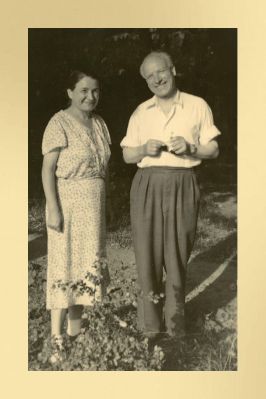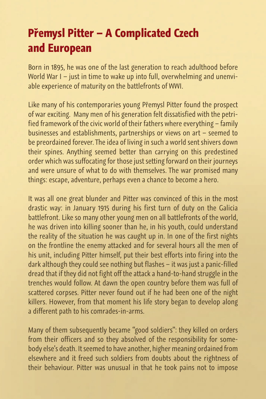## **Přemysl Pitter – A Complicated Czech and European**

Born in 1895, he was one of the last generation to reach adulthood before World War I – just in time to wake up into full, overwhelming and unenviable experience of maturity on the battlefronts of WWI.

Like many of his contemporaries young Přemysl Pitter found the prospect of war exciting. Many men of his generation felt dissatisfied with the petrified framework of the civic world of their fathers where everything – family businesses and establishments, partnerships or views on art – seemed to be preordained forever. The idea of living in such a world sent shivers down their spines. Anything seemed better than carrying on this predestined order which was suffocating for those just setting forward on their journeys and were unsure of what to do with themselves. The war promised many things: escape, adventure, perhaps even a chance to become a hero.

It was all one great blunder and Pitter was convinced of this in the most drastic way: in January 1915 during his first turn of duty on the Galicia battlefront. Like so many other young men on all battlefronts of the world, he was driven into killing sooner than he, in his youth, could understand the reality of the situation he was caught up in. In one of the first nights on the frontline the enemy attacked and for several hours all the men of his unit, including Pitter himself, put their best efforts into firing into the dark although they could see nothing but flashes – it was just a panic-filled dread that if they did not fight off the attack a hand-to-hand struggle in the trenches would follow. At dawn the open country before them was full of scattered corpses. Pitter never found out if he had been one of the night killers. However, from that moment his life story began to develop along a different path to his comrades-in-arms.

Many of them subsequently became "good soldiers": they killed on orders from their officers and so they absolved of the responsibility for somebody else's death. It seemed to have another, higher meaning ordained from elsewhere and it freed such soldiers from doubts about the rightness of their behaviour. Pitter was unusual in that he took pains not to impose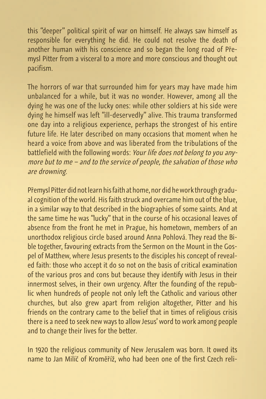this "deeper" political spirit of war on himself. He always saw himself as responsible for everything he did. He could not resolve the death of another human with his conscience and so began the long road of Přemysl Pitter from a visceral to a more and more conscious and thought out pacifism.

The horrors of war that surrounded him for years may have made him unbalanced for a while, but it was no wonder. However, among all the dying he was one of the lucky ones: while other soldiers at his side were dying he himself was left "ill-deservedly" alive. This trauma transformed one day into a religious experience, perhaps the strongest of his entire future life. He later described on many occasions that moment when he heard a voice from above and was liberated from the tribulations of the battlefield with the following words: Your life does not belong to you anymore but to me – and to the service of people, the salvation of those who are drowning.

Přemysl Pitter did not learn his faith at home, nor did he work through gradual cognition of the world. His faith struck and overcame him out of the blue, in a similar way to that described in the biographies of some saints. And at the same time he was "lucky" that in the course of his occasional leaves of absence from the front he met in Prague, his hometown, members of an unorthodox religious circle based around Anna Pohlová. They read the Bible together, favouring extracts from the Sermon on the Mount in the Gospel of Matthew, where Jesus presents to the disciples his concept of revealed faith: those who accept it do so not on the basis of critical examination of the various pros and cons but because they identify with Jesus in their innermost selves, in their own urgency. After the founding of the republic when hundreds of people not only left the Catholic and various other churches, but also grew apart from religion altogether, Pitter and his friends on the contrary came to the belief that in times of religious crisis there is a need to seek new ways to allow Jesus' word to work among people and to change their lives for the better.

In 1920 the religious community of New Jerusalem was born. It owed its name to Jan Milíč of Kroměříž, who had been one of the first Czech reli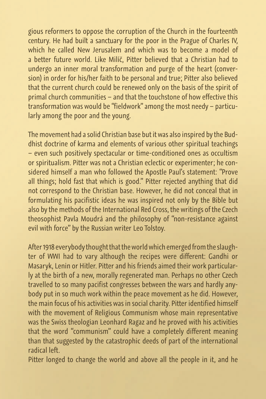gious reformers to oppose the corruption of the Church in the fourteenth century. He had built a sanctuary for the poor in the Prague of Charles IV, which he called New Jerusalem and which was to become a model of a better future world. Like Milíč, Pitter believed that a Christian had to undergo an inner moral transformation and purge of the heart (conversion) in order for his/her faith to be personal and true; Pitter also believed that the current church could be renewed only on the basis of the spirit of primal church communities – and that the touchstone of how effective this transformation was would be "fieldwork" among the most needy – particularly among the poor and the young.

The movement had a solid Christian base but it was also inspired by the Buddhist doctrine of karma and elements of various other spiritual teachings – even such positively spectacular or time-conditioned ones as occultism or spiritualism. Pitter was not a Christian eclectic or experimenter; he considered himself a man who followed the Apostle Paul's statement: "Prove all things; hold fast that which is good." Pitter rejected anything that did not correspond to the Christian base. However, he did not conceal that in formulating his pacifistic ideas he was inspired not only by the Bible but also by the methods of the International Red Cross, the writings of the Czech theosophist Pavla Moudrá and the philosophy of "non-resistance against evil with force" by the Russian writer Leo Tolstoy.

After 1918 everybody thought that the world which emerged from the slaughter of WWI had to vary although the recipes were different: Gandhi or Masaryk, Lenin or Hitler. Pitter and his friends aimed their work particularly at the birth of a new, morally regenerated man. Perhaps no other Czech travelled to so many pacifist congresses between the wars and hardly anybody put in so much work within the peace movement as he did. However, the main focus of his activities was in social charity. Pitter identified himself with the movement of Religious Communism whose main representative was the Swiss theologian Leonhard Ragaz and he proved with his activities that the word "communism" could have a completely different meaning than that suggested by the catastrophic deeds of part of the international radical left.

Pitter longed to change the world and above all the people in it, and he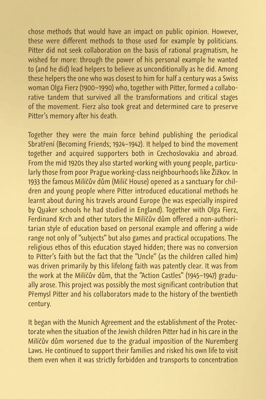chose methods that would have an impact on public opinion. However, these were different methods to those used for example by politicians. Pitter did not seek collaboration on the basis of rational pragmatism, he wished for more: through the power of his personal example he wanted to (and he did) lead helpers to believe as unconditionally as he did. Among these helpers the one who was closest to him for half a century was a Swiss woman Olga Fierz (1900–1990) who, together with Pitter, formed a collaborative tandem that survived all the transformations and critical stages of the movement. Fierz also took great and determined care to preserve Pitter's memory after his death.

Together they were the main force behind publishing the periodical Sbratření (Becoming Friends; 1924–1942). It helped to bind the movement together and acquired supporters both in Czechoslovakia and abroad. From the mid 1920s they also started working with young people, particularly those from poor Prague working-class neighbourhoods like Žižkov. In 1933 the famous Milíčův dům (Milíč House) opened as a sanctuary for children and young people where Pitter introduced educational methods he learnt about during his travels around Europe (he was especially inspired by Quaker schools he had studied in England). Together with Olga Fierz, Ferdinand Krch and other tutors the Milíčův dům offered a non-authoritarian style of education based on personal example and offering a wide range not only of "subjects" but also games and practical occupations. The religious ethos of this education stayed hidden; there was no conversion to Pitter's faith but the fact that the "Uncle" (as the children called him) was driven primarily by this lifelong faith was patently clear. It was from the work at the Milíčův dům, that the "Action Castles" (1945–1947) gradually arose. This project was possibly the most significant contribution that Přemysl Pitter and his collaborators made to the history of the twentieth century.

It began with the Munich Agreement and the establishment of the Protectorate when the situation of the Jewish children Pitter had in his care in the Milíčův dům worsened due to the gradual imposition of the Nuremberg Laws. He continued to support their families and risked his own life to visit them even when it was strictly forbidden and transports to concentration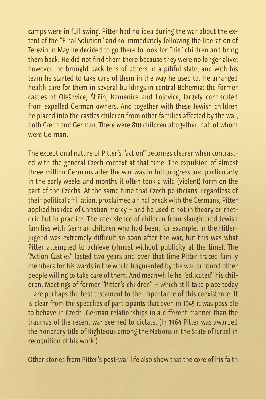camps were in full swing. Pitter had no idea during the war about the extent of the "Final Solution" and so immediately following the liberation of Terezín in May he decided to go there to look for "his" children and bring them back. He did not find them there because they were no longer alive; however, he brought back tens of others in a pitiful state, and with his team he started to take care of them in the way he used to. He arranged health care for them in several buildings in central Bohemia: the former castles of Olešovice, Štiřín, Kamenice and Lojovice, largely confiscated from expelled German owners. And together with these Jewish children he placed into the castles children from other families affected by the war, both Czech and German. There were 810 children altogether, half of whom were German.

The exceptional nature of Pitter's "action" becomes clearer when contrasted with the general Czech context at that time. The expulsion of almost three million Germans after the war was in full progress and particularly in the early weeks and months it often took a wild (violent) form on the part of the Czechs. At the same time that Czech politicians, regardless of their political affiliation, proclaimed a final break with the Germans, Pitter applied his idea of Christian mercy – and he used it not in theory or rhetoric but in practice. The coexistence of children from slaughtered Jewish families with German children who had been, for example, in the Hitlerjugend was extremely difficult so soon after the war, but this was what Pitter attempted to achieve (almost without publicity at the time). The "Action Castles" lasted two years and over that time Pitter traced family members for his wards in the world fragmented by the war or found other people willing to take care of them. And meanwhile he "educated" his children. Meetings of former "Pitter's children" – which still take place today – are perhaps the best testament to the importance of this coexistence. It is clear from the speeches of participants that even in 1945 it was possible to behave in Czech–German relationships in a different manner than the traumas of the recent war seemed to dictate. (In 1964 Pitter was awarded the honorary title of Righteous among the Nations in the State of Israel in recognition of his work.)

Other stories from Pitter's post-war life also show that the core of his faith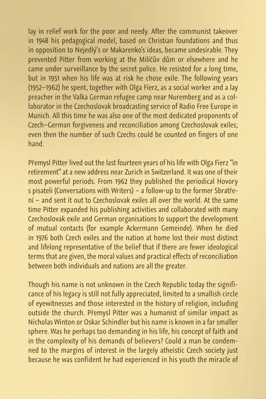lay in relief work for the poor and needy. After the communist takeover in 1948 his pedagogical model, based on Christian foundations and thus in opposition to Nejedlý's or Makarenko's ideas, became undesirable. They prevented Pitter from working at the Milíčův dům or elsewhere and he came under surveillance by the secret police. He resisted for a long time, but in 1951 when his life was at risk he chose exile. The following years (1952–1962) he spent, together with Olga Fierz, as a social worker and a lay preacher in the Valka German refugee camp near Nuremberg and as a collaborator in the Czechoslovak broadcasting service of Radio Free Europe in Munich. All this time he was also one of the most dedicated proponents of Czech–German forgiveness and reconciliation among Czechoslovak exiles; even then the number of such Czechs could be counted on fingers of one hand.

Přemysl Pitter lived out the last fourteen years of his life with Olga Fierz "in retirement" at a new address near Zurich in Switzerland. It was one of their most powerful periods. From 1962 they published the periodical Hovory s pisateli (Conversations with Writers) – a follow-up to the former Sbratření – and sent it out to Czechoslovak exiles all over the world. At the same time Pitter expanded his publishing activities and collaborated with many Czechoslovak exile and German organisations to support the development of mutual contacts (for example Ackermann Gemeinde). When he died in 1976 both Czech exiles and the nation at home lost their most distinct and lifelong representative of the belief that if there are fewer ideological terms that are given, the moral values and practical effects of reconciliation between both individuals and nations are all the greater.

Though his name is not unknown in the Czech Republic today the significance of his legacy is still not fully appreciated, limited to a smallish circle of eyewitnesses and those interested in the history of religion, including outside the church. Přemysl Pitter was a humanist of similar impact as Nicholas Winton or Oskar Schindler but his name is known in a far smaller sphere. Was he perhaps too demanding in his life, his concept of faith and in the complexity of his demands of believers? Could a man be condemned to the margins of interest in the largely atheistic Czech society just because he was confident he had experienced in his youth the miracle of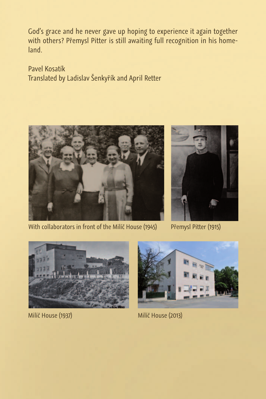God's grace and he never gave up hoping to experience it again together with others? Přemysl Pitter is still awaiting full recognition in his homeland.

Pavel Kosatík Translated by Ladislav Šenkyřík and April Retter



With collaborators in front of the Milíč House (1945)



Přemysl Pitter (1915)





Milíč House (1937) Milíč House (2013)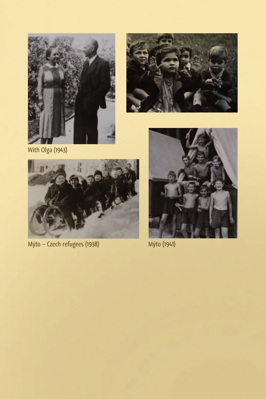



With Olga (1943)



Mýto – Czech refugees (1938) Mýto (1941)